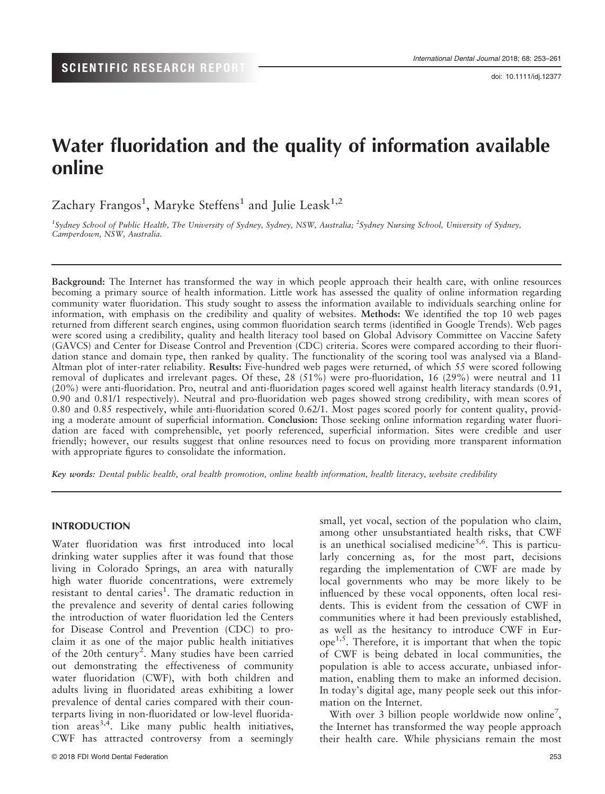doi: 10.1111/idj.12377

# Water fluoridation and the quality of information available online

Zachary Frangos<sup>1</sup>, Maryke Steffens<sup>1</sup> and Julie Leask<sup>1,2</sup>

<sup>1</sup>Sydney School of Public Health, The University of Sydney, Sydney, NSW, Australia; <sup>2</sup>Sydney Nursing School, University of Sydney, Camperdown, NSW, Australia.

Background: The Internet has transformed the way in which people approach their health care, with online resources becoming a primary source of health information. Little work has assessed the quality of online information regarding community water fluoridation. This study sought to assess the information available to individuals searching online for information, with emphasis on the credibility and quality of websites. Methods: We identified the top 10 web pages returned from different search engines, using common fluoridation search terms (identified in Google Trends). Web pages were scored using a credibility, quality and health literacy tool based on Global Advisory Committee on Vaccine Safety (GAVCS) and Center for Disease Control and Prevention (CDC) criteria. Scores were compared according to their fluoridation stance and domain type, then ranked by quality. The functionality of the scoring tool was analysed via a Bland-Altman plot of inter-rater reliability. Results: Five-hundred web pages were returned, of which 55 were scored following removal of duplicates and irrelevant pages. Of these, 28 (51%) were pro-fluoridation, 16 (29%) were neutral and 11 (20%) were anti-fluoridation. Pro, neutral and anti-fluoridation pages scored well against health literacy standards (0.91, 0.90 and 0.81/1 respectively). Neutral and pro-fluoridation web pages showed strong credibility, with mean scores of 0.80 and 0.85 respectively, while anti-fluoridation scored 0.62/1. Most pages scored poorly for content quality, providing a moderate amount of superficial information. Conclusion: Those seeking online information regarding water fluoridation are faced with comprehensible, yet poorly referenced, superficial information. Sites were credible and user friendly; however, our results suggest that online resources need to focus on providing more transparent information with appropriate figures to consolidate the information.

Key words: Dental public health, oral health promotion, online health information, health literacy, website credibility

#### INTRODUCTION

Water fluoridation was first introduced into local drinking water supplies after it was found that those living in Colorado Springs, an area with naturally high water fluoride concentrations, were extremely resistant to dental caries<sup>1</sup>. The dramatic reduction in the prevalence and severity of dental caries following the introduction of water fluoridation led the Centers for Disease Control and Prevention (CDC) to proclaim it as one of the major public health initiatives of the 20th century<sup>2</sup>. Many studies have been carried out demonstrating the effectiveness of community water fluoridation (CWF), with both children and adults living in fluoridated areas exhibiting a lower prevalence of dental caries compared with their counterparts living in non-fluoridated or low-level fluoridation areas $3,4$ . Like many public health initiatives, CWF has attracted controversy from a seemingly small, yet vocal, section of the population who claim, among other unsubstantiated health risks, that CWF is an unethical socialised medicine<sup>5,6</sup>. This is particularly concerning as, for the most part, decisions regarding the implementation of CWF are made by local governments who may be more likely to be influenced by these vocal opponents, often local residents. This is evident from the cessation of CWF in communities where it had been previously established, as well as the hesitancy to introduce CWF in Eur $ope^{1,5}$ . Therefore, it is important that when the topic of CWF is being debated in local communities, the population is able to access accurate, unbiased information, enabling them to make an informed decision. In today's digital age, many people seek out this information on the Internet.

With over 3 billion people worldwide now online<sup>7</sup>, the Internet has transformed the way people approach their health care. While physicians remain the most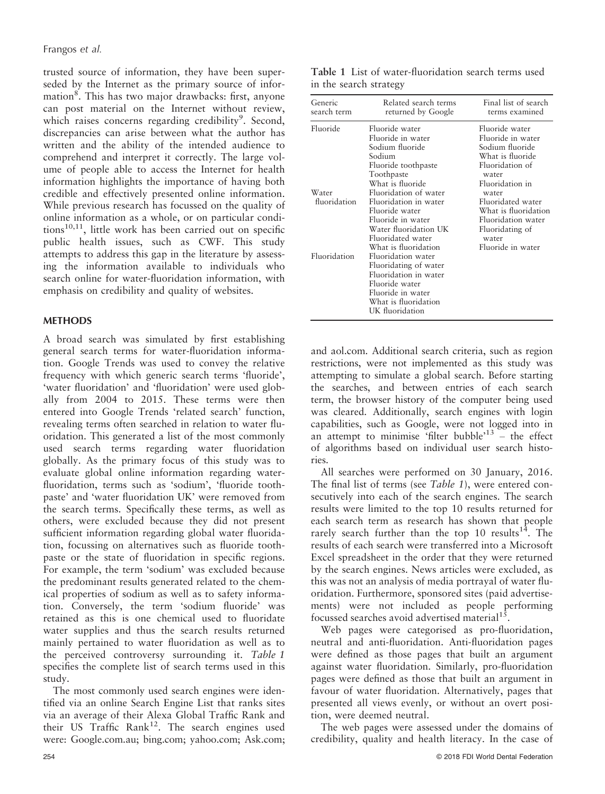trusted source of information, they have been superseded by the Internet as the primary source of information<sup>8</sup>. This has two major drawbacks: first, anyone can post material on the Internet without review, which raises concerns regarding credibility<sup>9</sup>. Second, discrepancies can arise between what the author has written and the ability of the intended audience to comprehend and interpret it correctly. The large volume of people able to access the Internet for health information highlights the importance of having both credible and effectively presented online information. While previous research has focussed on the quality of online information as a whole, or on particular condi $tions<sup>10,11</sup>$ , little work has been carried out on specific public health issues, such as CWF. This study attempts to address this gap in the literature by assessing the information available to individuals who search online for water-fluoridation information, with emphasis on credibility and quality of websites.

## **METHODS**

A broad search was simulated by first establishing general search terms for water-fluoridation information. Google Trends was used to convey the relative frequency with which generic search terms 'fluoride', 'water fluoridation' and 'fluoridation' were used globally from 2004 to 2015. These terms were then entered into Google Trends 'related search' function, revealing terms often searched in relation to water fluoridation. This generated a list of the most commonly used search terms regarding water fluoridation globally. As the primary focus of this study was to evaluate global online information regarding waterfluoridation, terms such as 'sodium', 'fluoride toothpaste' and 'water fluoridation UK' were removed from the search terms. Specifically these terms, as well as others, were excluded because they did not present sufficient information regarding global water fluoridation, focussing on alternatives such as fluoride toothpaste or the state of fluoridation in specific regions. For example, the term 'sodium' was excluded because the predominant results generated related to the chemical properties of sodium as well as to safety information. Conversely, the term 'sodium fluoride' was retained as this is one chemical used to fluoridate water supplies and thus the search results returned mainly pertained to water fluoridation as well as to the perceived controversy surrounding it. Table 1 specifies the complete list of search terms used in this study.

The most commonly used search engines were identified via an online Search Engine List that ranks sites via an average of their Alexa Global Traffic Rank and their US Traffic  $Rank^{12}$ . The search engines used were: Google.com.au; bing.com; yahoo.com; Ask.com;

|                        | Table 1 List of water-fluoridation search terms used |  |  |
|------------------------|------------------------------------------------------|--|--|
| in the search strategy |                                                      |  |  |

| Generic<br>search term | Related search terms<br>returned by Google                                                                                                                  | Final list of search<br>terms examined                                                                                    |
|------------------------|-------------------------------------------------------------------------------------------------------------------------------------------------------------|---------------------------------------------------------------------------------------------------------------------------|
| Fluoride               | Fluoride water<br>Fluoride in water<br>Sodium fluoride<br>Sodium<br>Fluoride toothpaste<br>Toothpaste<br>What is fluoride                                   | Fluoride water<br>Fluoride in water<br>Sodium fluoride<br>What is fluoride<br>Fluoridation of<br>water<br>Fluoridation in |
| Water<br>fluoridation  | Fluoridation of water<br>Fluoridation in water<br>Fluoride water<br>Fluoride in water<br>Water fluoridation UK<br>Fluoridated water<br>What is fluoridation | water<br>Fluoridated water<br>What is fluoridation<br>Fluoridation water<br>Fluoridating of<br>water<br>Fluoride in water |
| Fluoridation           | Fluoridation water<br>Fluoridating of water<br>Fluoridation in water<br>Fluoride water<br>Fluoride in water<br>What is fluoridation<br>UK fluoridation      |                                                                                                                           |

and aol.com. Additional search criteria, such as region restrictions, were not implemented as this study was attempting to simulate a global search. Before starting the searches, and between entries of each search term, the browser history of the computer being used was cleared. Additionally, search engines with login capabilities, such as Google, were not logged into in an attempt to minimise 'filter bubble'<sup>13</sup> – the effect of algorithms based on individual user search histories.

All searches were performed on 30 January, 2016. The final list of terms (see Table 1), were entered consecutively into each of the search engines. The search results were limited to the top 10 results returned for each search term as research has shown that people rarely search further than the top 10 results $14$ . The results of each search were transferred into a Microsoft Excel spreadsheet in the order that they were returned by the search engines. News articles were excluded, as this was not an analysis of media portrayal of water fluoridation. Furthermore, sponsored sites (paid advertisements) were not included as people performing focussed searches avoid advertised material<sup>15</sup>.

Web pages were categorised as pro-fluoridation, neutral and anti-fluoridation. Anti-fluoridation pages were defined as those pages that built an argument against water fluoridation. Similarly, pro-fluoridation pages were defined as those that built an argument in favour of water fluoridation. Alternatively, pages that presented all views evenly, or without an overt position, were deemed neutral.

The web pages were assessed under the domains of credibility, quality and health literacy. In the case of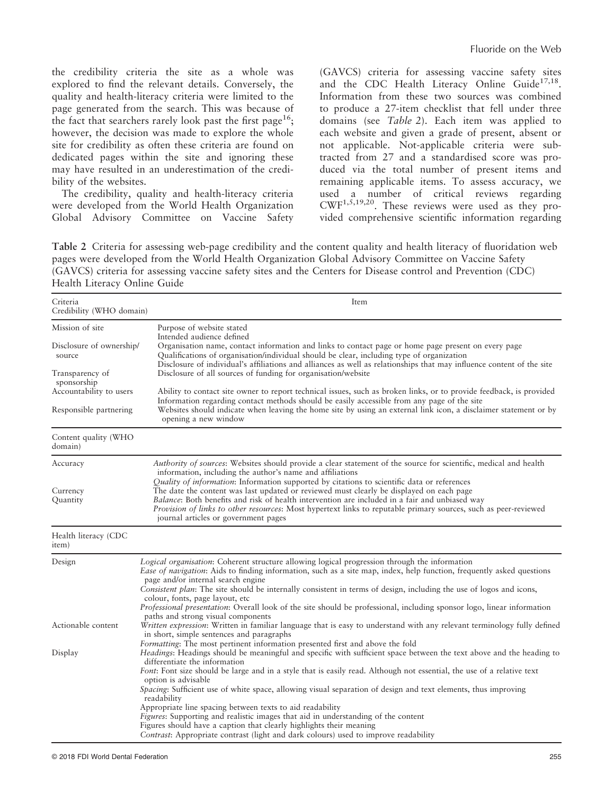the credibility criteria the site as a whole was explored to find the relevant details. Conversely, the quality and health-literacy criteria were limited to the page generated from the search. This was because of the fact that searchers rarely look past the first page<sup>16</sup>; however, the decision was made to explore the whole site for credibility as often these criteria are found on dedicated pages within the site and ignoring these may have resulted in an underestimation of the credibility of the websites.

The credibility, quality and health-literacy criteria were developed from the World Health Organization Global Advisory Committee on Vaccine Safety (GAVCS) criteria for assessing vaccine safety sites and the CDC Health Literacy Online Guide<sup>17,18</sup>. Information from these two sources was combined to produce a 27-item checklist that fell under three domains (see Table 2). Each item was applied to each website and given a grade of present, absent or not applicable. Not-applicable criteria were subtracted from 27 and a standardised score was produced via the total number of present items and remaining applicable items. To assess accuracy, we used a number of critical reviews regarding CWF1,5,19,20. These reviews were used as they provided comprehensive scientific information regarding

Table 2 Criteria for assessing web-page credibility and the content quality and health literacy of fluoridation web pages were developed from the World Health Organization Global Advisory Committee on Vaccine Safety (GAVCS) criteria for assessing vaccine safety sites and the Centers for Disease control and Prevention (CDC) Health Literacy Online Guide

| Criteria<br>Credibility (WHO domain) | Item                                                                                                                                                                                                                                                                                                                      |
|--------------------------------------|---------------------------------------------------------------------------------------------------------------------------------------------------------------------------------------------------------------------------------------------------------------------------------------------------------------------------|
| Mission of site                      | Purpose of website stated<br>Intended audience defined                                                                                                                                                                                                                                                                    |
| Disclosure of ownership/<br>source   | Organisation name, contact information and links to contact page or home page present on every page<br>Qualifications of organisation/individual should be clear, including type of organization<br>Disclosure of individual's affiliations and alliances as well as relationships that may influence content of the site |
| Transparency of<br>sponsorship       | Disclosure of all sources of funding for organisation/website                                                                                                                                                                                                                                                             |
| Accountability to users              | Ability to contact site owner to report technical issues, such as broken links, or to provide feedback, is provided<br>Information regarding contact methods should be easily accessible from any page of the site                                                                                                        |
| Responsible partnering               | Websites should indicate when leaving the home site by using an external link icon, a disclaimer statement or by<br>opening a new window                                                                                                                                                                                  |
| Content quality (WHO<br>domain)      |                                                                                                                                                                                                                                                                                                                           |
| Accuracy                             | Authority of sources: Websites should provide a clear statement of the source for scientific, medical and health<br>information, including the author's name and affiliations<br>Quality of information: Information supported by citations to scientific data or references                                              |
| Currency                             | The date the content was last updated or reviewed must clearly be displayed on each page                                                                                                                                                                                                                                  |
| Quantity                             | Balance: Both benefits and risk of health intervention are included in a fair and unbiased way<br>Provision of links to other resources: Most hypertext links to reputable primary sources, such as peer-reviewed<br>journal articles or government pages                                                                 |
| Health literacy (CDC<br>item)        |                                                                                                                                                                                                                                                                                                                           |
| Design                               | Logical organisation: Coherent structure allowing logical progression through the information<br>Ease of navigation: Aids to finding information, such as a site map, index, help function, frequently asked questions<br>page and/or internal search engine                                                              |
|                                      | Consistent plan: The site should be internally consistent in terms of design, including the use of logos and icons,<br>colour, fonts, page layout, etc                                                                                                                                                                    |
|                                      | <i>Professional presentation:</i> Overall look of the site should be professional, including sponsor logo, linear information<br>paths and strong visual components                                                                                                                                                       |
| Actionable content                   | Written expression: Written in familiar language that is easy to understand with any relevant terminology fully defined<br>in short, simple sentences and paragraphs                                                                                                                                                      |
|                                      | Formatting: The most pertinent information presented first and above the fold                                                                                                                                                                                                                                             |
| Display                              | Headings: Headings should be meaningful and specific with sufficient space between the text above and the heading to<br>differentiate the information                                                                                                                                                                     |
|                                      | Font: Font size should be large and in a style that is easily read. Although not essential, the use of a relative text<br>option is advisable                                                                                                                                                                             |
|                                      | Spacing: Sufficient use of white space, allowing visual separation of design and text elements, thus improving<br>readability                                                                                                                                                                                             |
|                                      | Appropriate line spacing between texts to aid readability<br>Figures: Supporting and realistic images that aid in understanding of the content                                                                                                                                                                            |
|                                      | Figures should have a caption that clearly highlights their meaning                                                                                                                                                                                                                                                       |
|                                      | Contrast: Appropriate contrast (light and dark colours) used to improve readability                                                                                                                                                                                                                                       |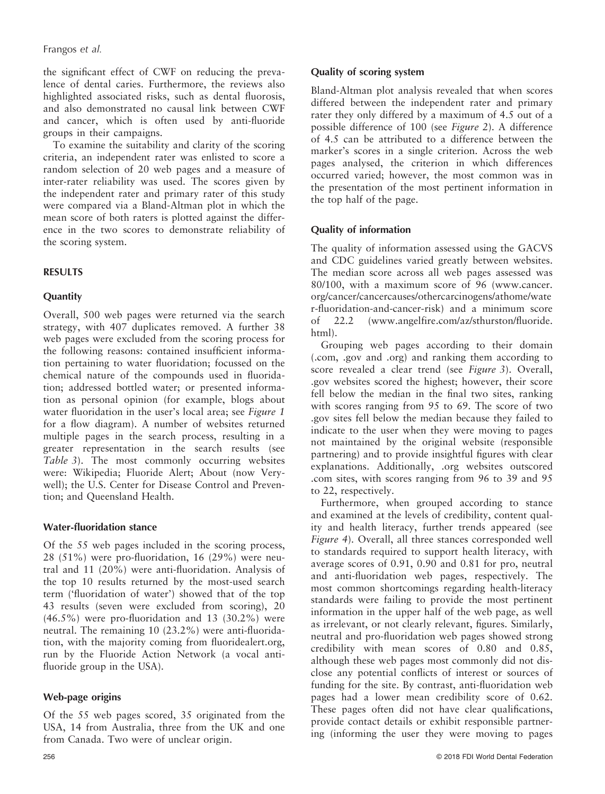the significant effect of CWF on reducing the prevalence of dental caries. Furthermore, the reviews also highlighted associated risks, such as dental fluorosis, and also demonstrated no causal link between CWF and cancer, which is often used by anti-fluoride groups in their campaigns.

To examine the suitability and clarity of the scoring criteria, an independent rater was enlisted to score a random selection of 20 web pages and a measure of inter-rater reliability was used. The scores given by the independent rater and primary rater of this study were compared via a Bland-Altman plot in which the mean score of both raters is plotted against the difference in the two scores to demonstrate reliability of the scoring system.

## RESULTS

## **Quantity**

Overall, 500 web pages were returned via the search strategy, with 407 duplicates removed. A further 38 web pages were excluded from the scoring process for the following reasons: contained insufficient information pertaining to water fluoridation; focussed on the chemical nature of the compounds used in fluoridation; addressed bottled water; or presented information as personal opinion (for example, blogs about water fluoridation in the user's local area; see Figure 1 for a flow diagram). A number of websites returned multiple pages in the search process, resulting in a greater representation in the search results (see Table 3). The most commonly occurring websites were: Wikipedia; Fluoride Alert; About (now Verywell); the U.S. Center for Disease Control and Prevention; and Queensland Health.

## Water-fluoridation stance

Of the 55 web pages included in the scoring process, 28 (51%) were pro-fluoridation, 16 (29%) were neutral and 11 (20%) were anti-fluoridation. Analysis of the top 10 results returned by the most-used search term ('fluoridation of water') showed that of the top 43 results (seven were excluded from scoring), 20 (46.5%) were pro-fluoridation and 13 (30.2%) were neutral. The remaining 10 (23.2%) were anti-fluoridation, with the majority coming from fluoridealert.org, run by the Fluoride Action Network (a vocal antifluoride group in the USA).

## Web-page origins

Of the 55 web pages scored, 35 originated from the USA, 14 from Australia, three from the UK and one from Canada. Two were of unclear origin.

# Quality of scoring system

Bland-Altman plot analysis revealed that when scores differed between the independent rater and primary rater they only differed by a maximum of 4.5 out of a possible difference of 100 (see Figure 2). A difference of 4.5 can be attributed to a difference between the marker's scores in a single criterion. Across the web pages analysed, the criterion in which differences occurred varied; however, the most common was in the presentation of the most pertinent information in the top half of the page.

## Quality of information

The quality of information assessed using the GACVS and CDC guidelines varied greatly between websites. The median score across all web pages assessed was 80/100, with a maximum score of 96 [\(www.cancer.](http://www.cancer.org/cancer/cancercauses/othercarcinogens/athome/water-fluoridation-and-cancer-risk) [org/cancer/cancercauses/othercarcinogens/athome/wate](http://www.cancer.org/cancer/cancercauses/othercarcinogens/athome/water-fluoridation-and-cancer-risk) [r-fluoridation-and-cancer-risk\)](http://www.cancer.org/cancer/cancercauses/othercarcinogens/athome/water-fluoridation-and-cancer-risk) and a minimum score of 22.2 ([www.angelfire.com/az/sthurston/fluoride.](http://www.angelfire.com/az/sthurston/fluoride.html) [html](http://www.angelfire.com/az/sthurston/fluoride.html)).

Grouping web pages according to their domain (.com, .gov and .org) and ranking them according to score revealed a clear trend (see Figure 3). Overall, .gov websites scored the highest; however, their score fell below the median in the final two sites, ranking with scores ranging from 95 to 69. The score of two .gov sites fell below the median because they failed to indicate to the user when they were moving to pages not maintained by the original website (responsible partnering) and to provide insightful figures with clear explanations. Additionally, .org websites outscored .com sites, with scores ranging from 96 to 39 and 95 to 22, respectively.

Furthermore, when grouped according to stance and examined at the levels of credibility, content quality and health literacy, further trends appeared (see Figure 4). Overall, all three stances corresponded well to standards required to support health literacy, with average scores of 0.91, 0.90 and 0.81 for pro, neutral and anti-fluoridation web pages, respectively. The most common shortcomings regarding health-literacy standards were failing to provide the most pertinent information in the upper half of the web page, as well as irrelevant, or not clearly relevant, figures. Similarly, neutral and pro-fluoridation web pages showed strong credibility with mean scores of 0.80 and 0.85, although these web pages most commonly did not disclose any potential conflicts of interest or sources of funding for the site. By contrast, anti-fluoridation web pages had a lower mean credibility score of 0.62. These pages often did not have clear qualifications, provide contact details or exhibit responsible partnering (informing the user they were moving to pages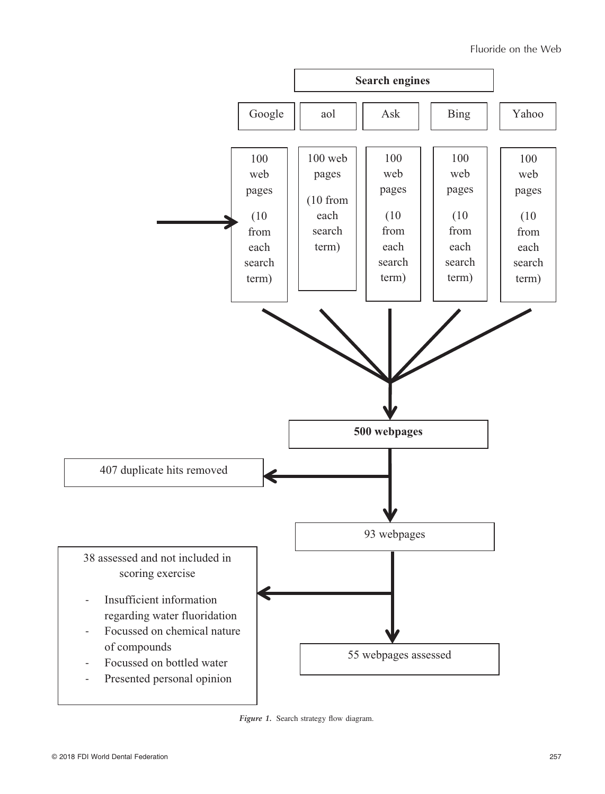

Figure 1. Search strategy flow diagram.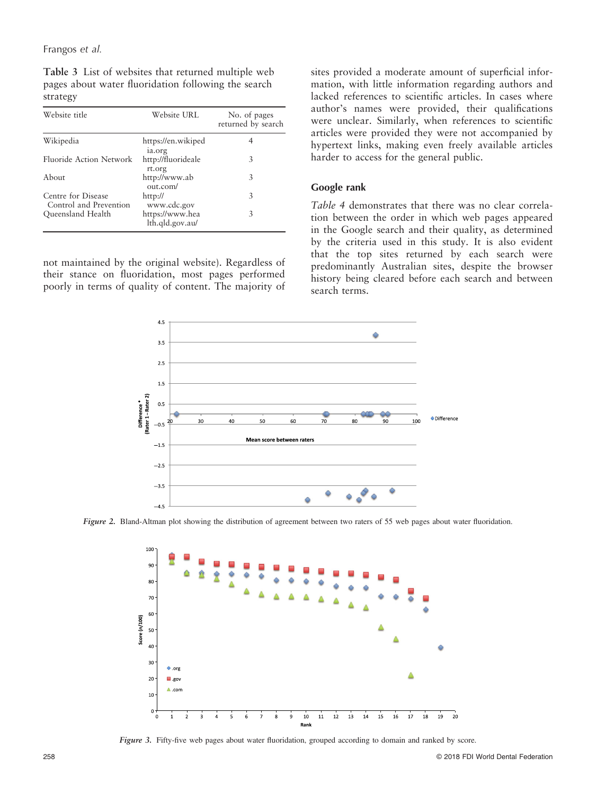#### Frangos et al.

Table 3 List of websites that returned multiple web pages about water fluoridation following the search strategy

| Website title                                | Website URL                        | No. of pages<br>returned by search |
|----------------------------------------------|------------------------------------|------------------------------------|
| Wikipedia                                    | https://en.wikiped<br>ia.org       | 4                                  |
| <b>Fluoride Action Network</b>               | http://fluorideale<br>rt.org       | 3                                  |
| About                                        | http://www.ab<br>out.com/          | 3                                  |
| Centre for Disease<br>Control and Prevention | http://<br>www.cdc.gov             | 3                                  |
| Queensland Health                            | https://www.hea<br>lth.qld.gov.au/ | 3                                  |

not maintained by the original website). Regardless of their stance on fluoridation, most pages performed poorly in terms of quality of content. The majority of sites provided a moderate amount of superficial information, with little information regarding authors and lacked references to scientific articles. In cases where author's names were provided, their qualifications were unclear. Similarly, when references to scientific articles were provided they were not accompanied by hypertext links, making even freely available articles harder to access for the general public.

#### Google rank

Table 4 demonstrates that there was no clear correlation between the order in which web pages appeared in the Google search and their quality, as determined by the criteria used in this study. It is also evident that the top sites returned by each search were predominantly Australian sites, despite the browser history being cleared before each search and between search terms.



Figure 2. Bland-Altman plot showing the distribution of agreement between two raters of 55 web pages about water fluoridation.



Figure 3. Fifty-five web pages about water fluoridation, grouped according to domain and ranked by score.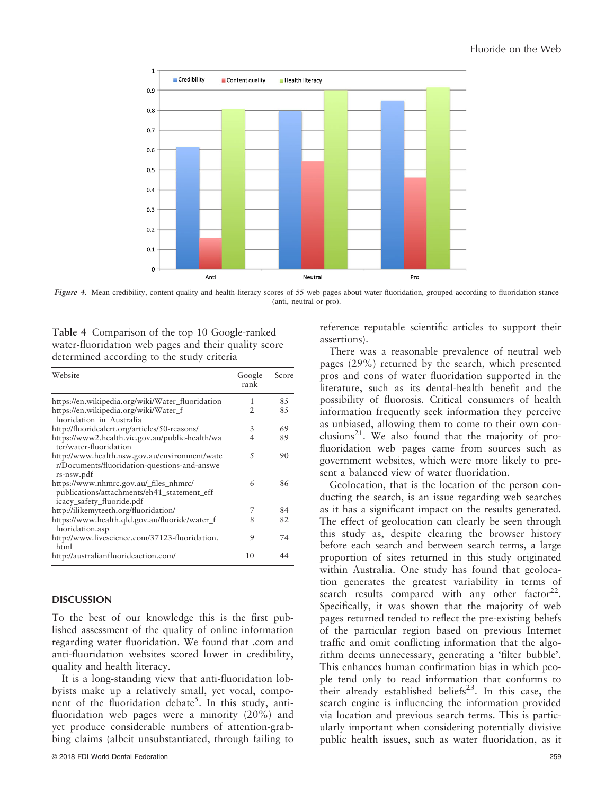

Figure 4. Mean credibility, content quality and health-literacy scores of 55 web pages about water fluoridation, grouped according to fluoridation stance (anti, neutral or pro).

Table 4 Comparison of the top 10 Google-ranked water-fluoridation web pages and their quality score determined according to the study criteria

| Website                                                                                                            | Google<br>rank | Score |
|--------------------------------------------------------------------------------------------------------------------|----------------|-------|
| https://en.wikipedia.org/wiki/Water_fluoridation                                                                   | 1              | 85    |
| https://en.wikipedia.org/wiki/Water_f<br>luoridation in Australia                                                  | 2              | 85    |
| http://fluoridealert.org/articles/50-reasons/                                                                      | 3              | 69    |
| https://www2.health.vic.gov.au/public-health/wa<br>ter/water-fluoridation                                          | $\overline{4}$ | 89    |
| http://www.health.nsw.gov.au/environment/wate<br>r/Documents/fluoridation-questions-and-answe<br>rs-nsw.pdf        | 5              | 90    |
| https://www.nhmrc.gov.au/_files_nhmrc/<br>publications/attachments/eh41 statement eff<br>icacy safety fluoride.pdf | 6              | 86    |
| http://ilikemyteeth.org/fluoridation/                                                                              | 7              | 84    |
| https://www.health.qld.gov.au/fluoride/water_f<br>luoridation.asp                                                  | 8              | 82    |
| http://www.livescience.com/37123-fluoridation.<br>html                                                             | 9              | 74    |
| http://australianfluorideaction.com/                                                                               | 10             | 44    |

#### **DISCUSSION**

To the best of our knowledge this is the first published assessment of the quality of online information regarding water fluoridation. We found that .com and anti-fluoridation websites scored lower in credibility, quality and health literacy.

It is a long-standing view that anti-fluoridation lobbyists make up a relatively small, yet vocal, component of the fluoridation debate<sup>5</sup>. In this study, antifluoridation web pages were a minority (20%) and yet produce considerable numbers of attention-grabbing claims (albeit unsubstantiated, through failing to reference reputable scientific articles to support their assertions).

There was a reasonable prevalence of neutral web pages (29%) returned by the search, which presented pros and cons of water fluoridation supported in the literature, such as its dental-health benefit and the possibility of fluorosis. Critical consumers of health information frequently seek information they perceive as unbiased, allowing them to come to their own conclusions<sup>21</sup>. We also found that the majority of profluoridation web pages came from sources such as government websites, which were more likely to present a balanced view of water fluoridation.

Geolocation, that is the location of the person conducting the search, is an issue regarding web searches as it has a significant impact on the results generated. The effect of geolocation can clearly be seen through this study as, despite clearing the browser history before each search and between search terms, a large proportion of sites returned in this study originated within Australia. One study has found that geolocation generates the greatest variability in terms of search results compared with any other factor<sup>22</sup>. Specifically, it was shown that the majority of web pages returned tended to reflect the pre-existing beliefs of the particular region based on previous Internet traffic and omit conflicting information that the algorithm deems unnecessary, generating a 'filter bubble'. This enhances human confirmation bias in which people tend only to read information that conforms to their already established beliefs $2<sup>3</sup>$ . In this case, the search engine is influencing the information provided via location and previous search terms. This is particularly important when considering potentially divisive public health issues, such as water fluoridation, as it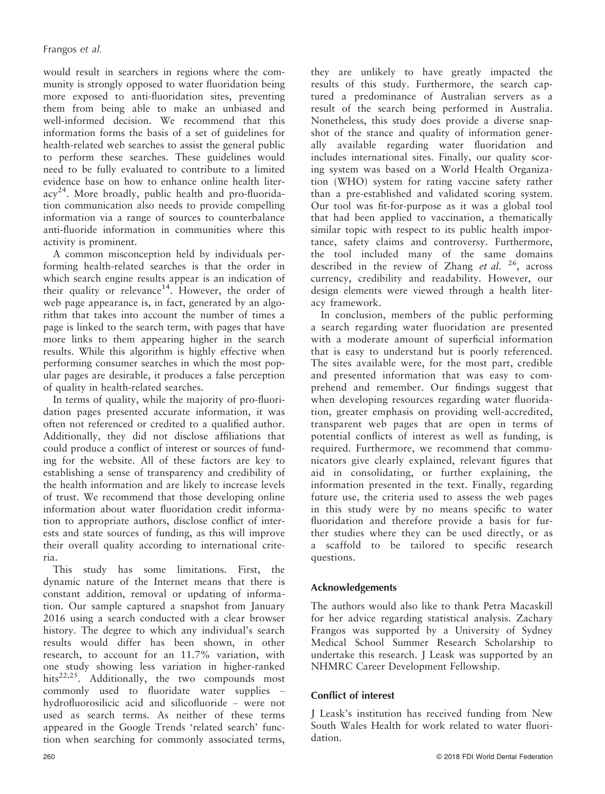would result in searchers in regions where the community is strongly opposed to water fluoridation being more exposed to anti-fluoridation sites, preventing them from being able to make an unbiased and well-informed decision. We recommend that this information forms the basis of a set of guidelines for health-related web searches to assist the general public to perform these searches. These guidelines would need to be fully evaluated to contribute to a limited evidence base on how to enhance online health liter $acy<sup>24</sup>$ . More broadly, public health and pro-fluoridation communication also needs to provide compelling information via a range of sources to counterbalance anti-fluoride information in communities where this activity is prominent.

A common misconception held by individuals performing health-related searches is that the order in which search engine results appear is an indication of their quality or relevance<sup>14</sup>. However, the order of web page appearance is, in fact, generated by an algorithm that takes into account the number of times a page is linked to the search term, with pages that have more links to them appearing higher in the search results. While this algorithm is highly effective when performing consumer searches in which the most popular pages are desirable, it produces a false perception of quality in health-related searches.

In terms of quality, while the majority of pro-fluoridation pages presented accurate information, it was often not referenced or credited to a qualified author. Additionally, they did not disclose affiliations that could produce a conflict of interest or sources of funding for the website. All of these factors are key to establishing a sense of transparency and credibility of the health information and are likely to increase levels of trust. We recommend that those developing online information about water fluoridation credit information to appropriate authors, disclose conflict of interests and state sources of funding, as this will improve their overall quality according to international criteria.

This study has some limitations. First, the dynamic nature of the Internet means that there is constant addition, removal or updating of information. Our sample captured a snapshot from January 2016 using a search conducted with a clear browser history. The degree to which any individual's search results would differ has been shown, in other research, to account for an 11.7% variation, with one study showing less variation in higher-ranked hits<sup>22,25</sup>. Additionally, the two compounds most commonly used to fluoridate water supplies – hydrofluorosilicic acid and silicofluoride – were not used as search terms. As neither of these terms appeared in the Google Trends 'related search' function when searching for commonly associated terms,

they are unlikely to have greatly impacted the results of this study. Furthermore, the search captured a predominance of Australian servers as a result of the search being performed in Australia. Nonetheless, this study does provide a diverse snapshot of the stance and quality of information generally available regarding water fluoridation and includes international sites. Finally, our quality scoring system was based on a World Health Organization (WHO) system for rating vaccine safety rather than a pre-established and validated scoring system. Our tool was fit-for-purpose as it was a global tool that had been applied to vaccination, a thematically similar topic with respect to its public health importance, safety claims and controversy. Furthermore, the tool included many of the same domains described in the review of Zhang et al.  $26$ , across currency, credibility and readability. However, our design elements were viewed through a health literacy framework.

In conclusion, members of the public performing a search regarding water fluoridation are presented with a moderate amount of superficial information that is easy to understand but is poorly referenced. The sites available were, for the most part, credible and presented information that was easy to comprehend and remember. Our findings suggest that when developing resources regarding water fluoridation, greater emphasis on providing well-accredited, transparent web pages that are open in terms of potential conflicts of interest as well as funding, is required. Furthermore, we recommend that communicators give clearly explained, relevant figures that aid in consolidating, or further explaining, the information presented in the text. Finally, regarding future use, the criteria used to assess the web pages in this study were by no means specific to water fluoridation and therefore provide a basis for further studies where they can be used directly, or as a scaffold to be tailored to specific research questions.

## Acknowledgements

The authors would also like to thank Petra Macaskill for her advice regarding statistical analysis. Zachary Frangos was supported by a University of Sydney Medical School Summer Research Scholarship to undertake this research. J Leask was supported by an NHMRC Career Development Fellowship.

## Conflict of interest

J Leask's institution has received funding from New South Wales Health for work related to water fluoridation.